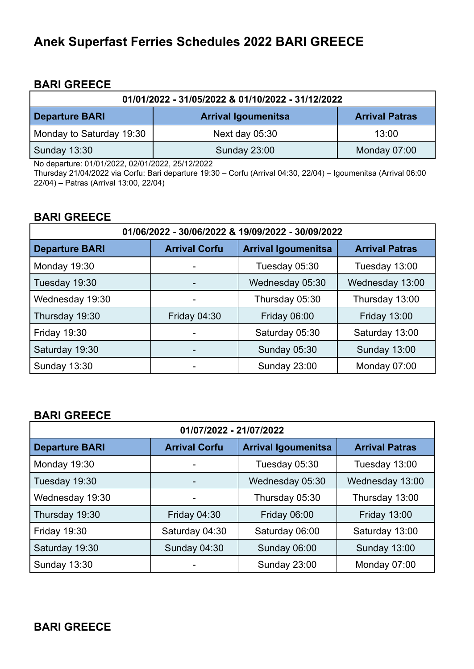# **Anek Superfast Ferries Schedules 2022 BARI GREECE**

## **BARI GREECE**

| 01/01/2022 - 31/05/2022 & 01/10/2022 - 31/12/2022 |                            |                       |
|---------------------------------------------------|----------------------------|-----------------------|
| <b>Departure BARI</b>                             | <b>Arrival Igoumenitsa</b> | <b>Arrival Patras</b> |
| Monday to Saturday 19:30                          | Next day $05:30$           | 13:00                 |
| <b>Sunday 13:30</b>                               | <b>Sunday 23:00</b>        | Monday 07:00          |

No departure: 01/01/2022, 02/01/2022, 25/12/2022

Thursday 21/04/2022 via Corfu: Bari departure 19:30 – Corfu (Arrival 04:30, 22/04) – Igoumenitsa (Arrival 06:00 22/04) – Patras (Arrival 13:00, 22/04)

## **BARI GREECE**

| 01/06/2022 - 30/06/2022 & 19/09/2022 - 30/09/2022                           |                     |                       |                     |
|-----------------------------------------------------------------------------|---------------------|-----------------------|---------------------|
| <b>Departure BARI</b><br><b>Arrival Igoumenitsa</b><br><b>Arrival Corfu</b> |                     | <b>Arrival Patras</b> |                     |
| Monday 19:30                                                                |                     | Tuesday 05:30         | Tuesday 13:00       |
| Tuesday 19:30                                                               |                     | Wednesday 05:30       | Wednesday 13:00     |
| Wednesday 19:30                                                             |                     | Thursday 05:30        | Thursday 13:00      |
| Thursday 19:30                                                              | <b>Friday 04:30</b> | <b>Friday 06:00</b>   | <b>Friday 13:00</b> |
| <b>Friday 19:30</b>                                                         |                     | Saturday 05:30        | Saturday 13:00      |
| Saturday 19:30                                                              |                     | <b>Sunday 05:30</b>   | <b>Sunday 13:00</b> |
| <b>Sunday 13:30</b>                                                         |                     | <b>Sunday 23:00</b>   | Monday 07:00        |

# **BARI GREECE**

| 01/07/2022 - 21/07/2022 |                      |                            |                       |
|-------------------------|----------------------|----------------------------|-----------------------|
| <b>Departure BARI</b>   | <b>Arrival Corfu</b> | <b>Arrival Igoumenitsa</b> | <b>Arrival Patras</b> |
| Monday 19:30            |                      | Tuesday 05:30              | Tuesday 13:00         |
| Tuesday 19:30           |                      | Wednesday 05:30            | Wednesday 13:00       |
| Wednesday 19:30         |                      | Thursday 05:30             | Thursday 13:00        |
| Thursday 19:30          | <b>Friday 04:30</b>  | Friday 06:00               | <b>Friday 13:00</b>   |
| <b>Friday 19:30</b>     | Saturday 04:30       | Saturday 06:00             | Saturday 13:00        |
| Saturday 19:30          | <b>Sunday 04:30</b>  | <b>Sunday 06:00</b>        | <b>Sunday 13:00</b>   |
| Sunday 13:30            |                      | <b>Sunday 23:00</b>        | Monday 07:00          |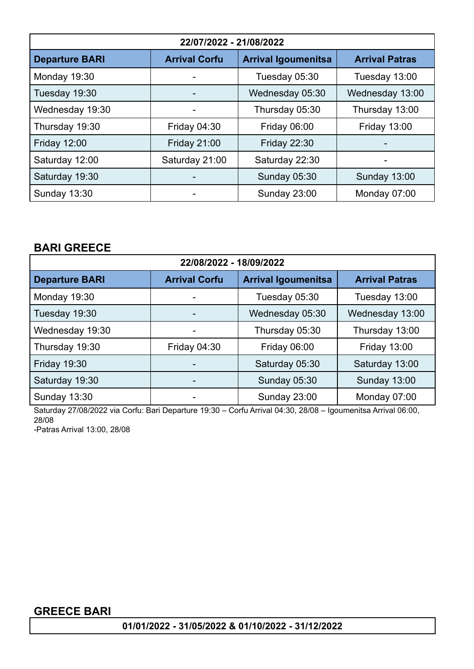| 22/07/2022 - 21/08/2022                       |                     |                            |                       |
|-----------------------------------------------|---------------------|----------------------------|-----------------------|
| <b>Departure BARI</b><br><b>Arrival Corfu</b> |                     | <b>Arrival Igoumenitsa</b> | <b>Arrival Patras</b> |
| Monday 19:30                                  | -                   | Tuesday 05:30              | Tuesday 13:00         |
| Tuesday 19:30                                 |                     | Wednesday 05:30            | Wednesday 13:00       |
| Wednesday 19:30                               | -                   | Thursday 05:30             | Thursday 13:00        |
| Thursday 19:30                                | Friday 04:30        | Friday 06:00               | <b>Friday 13:00</b>   |
| <b>Friday 12:00</b>                           | <b>Friday 21:00</b> | <b>Friday 22:30</b>        |                       |
| Saturday 12:00                                | Saturday 21:00      | Saturday 22:30             |                       |
| Saturday 19:30                                |                     | <b>Sunday 05:30</b>        | <b>Sunday 13:00</b>   |
| <b>Sunday 13:30</b>                           |                     | <b>Sunday 23:00</b>        | Monday 07:00          |

# **BARI GREECE**

| 22/08/2022 - 18/09/2022                                                     |                     |                       |                     |
|-----------------------------------------------------------------------------|---------------------|-----------------------|---------------------|
| <b>Arrival Corfu</b><br><b>Arrival Igoumenitsa</b><br><b>Departure BARI</b> |                     | <b>Arrival Patras</b> |                     |
| Monday 19:30                                                                |                     | Tuesday 05:30         | Tuesday 13:00       |
| Tuesday 19:30                                                               |                     | Wednesday 05:30       | Wednesday 13:00     |
| Wednesday 19:30                                                             |                     | Thursday 05:30        | Thursday 13:00      |
| Thursday 19:30                                                              | <b>Friday 04:30</b> | <b>Friday 06:00</b>   | <b>Friday 13:00</b> |
| <b>Friday 19:30</b>                                                         |                     | Saturday 05:30        | Saturday 13:00      |
| Saturday 19:30                                                              |                     | <b>Sunday 05:30</b>   | <b>Sunday 13:00</b> |
| Sunday 13:30                                                                |                     | <b>Sunday 23:00</b>   | Monday 07:00        |

Saturday 27/08/2022 via Corfu: Bari Departure 19:30 – Corfu Arrival 04:30, 28/08 – Igoumenitsa Arrival 06:00, 28/08

-Patras Arrival 13:00, 28/08

# **GREECE BARI**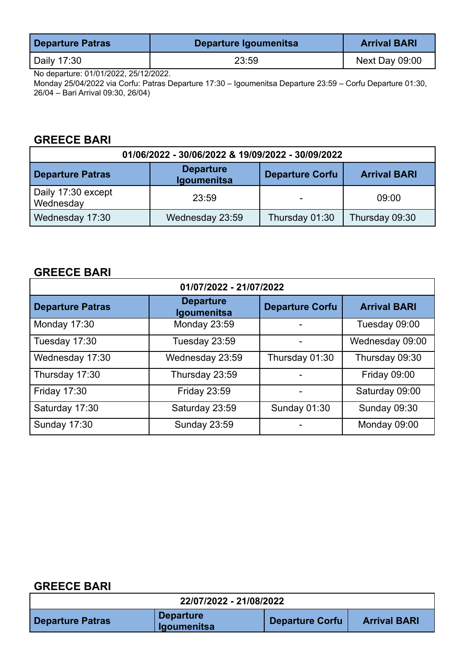| <b>Departure Patras</b> | Departure Igoumenitsa | <b>Arrival BARI</b> |
|-------------------------|-----------------------|---------------------|
| Daily 17:30             | 23:59                 | Next Day 09:00      |

No departure: 01/01/2022, 25/12/2022.

Monday 25/04/2022 via Corfu: Patras Departure 17:30 – Igoumenitsa Departure 23:59 – Corfu Departure 01:30, 26/04 – Bari Arrival 09:30, 26/04)

# **GREECE BARI**

| 01/06/2022 - 30/06/2022 & 19/09/2022 - 30/09/2022 |                                        |                        |                     |
|---------------------------------------------------|----------------------------------------|------------------------|---------------------|
| <b>Departure Patras</b>                           | <b>Departure</b><br><b>Igoumenitsa</b> | <b>Departure Corfu</b> | <b>Arrival BARI</b> |
| Daily 17:30 except<br>Wednesday                   | 23:59                                  |                        | 09:00               |
| Wednesday 17:30                                   | Wednesday 23:59                        | Thursday 01:30         | Thursday 09:30      |

# **GREECE BARI**

| 01/07/2022 - 21/07/2022 |                                 |                        |                     |
|-------------------------|---------------------------------|------------------------|---------------------|
| <b>Departure Patras</b> | <b>Departure</b><br>Igoumenitsa | <b>Departure Corfu</b> | <b>Arrival BARI</b> |
| Monday 17:30            | Monday 23:59                    |                        | Tuesday 09:00       |
| Tuesday 17:30           | Tuesday 23:59                   |                        | Wednesday 09:00     |
| Wednesday 17:30         | Wednesday 23:59                 | Thursday 01:30         | Thursday 09:30      |
| Thursday 17:30          | Thursday 23:59                  |                        | <b>Friday 09:00</b> |
| Friday 17:30            | Friday 23:59                    |                        | Saturday 09:00      |
| Saturday 17:30          | Saturday 23:59                  | <b>Sunday 01:30</b>    | <b>Sunday 09:30</b> |
| <b>Sunday 17:30</b>     | <b>Sunday 23:59</b>             |                        | Monday 09:00        |

### **GREECE BARI**

|                         | 22/07/2022 - 21/08/2022                |                        |                     |
|-------------------------|----------------------------------------|------------------------|---------------------|
| <b>Departure Patras</b> | <b>Departure</b><br><b>Igoumenitsa</b> | <b>Departure Corfu</b> | <b>Arrival BARI</b> |

٦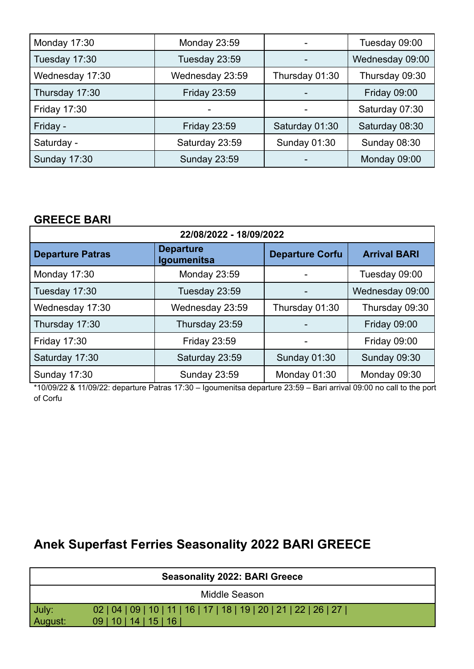| Monday 17:30        | Monday 23:59        |                | Tuesday 09:00       |
|---------------------|---------------------|----------------|---------------------|
| Tuesday 17:30       | Tuesday 23:59       |                | Wednesday 09:00     |
| Wednesday 17:30     | Wednesday 23:59     | Thursday 01:30 | Thursday 09:30      |
| Thursday 17:30      | <b>Friday 23:59</b> |                | <b>Friday 09:00</b> |
| <b>Friday 17:30</b> |                     |                | Saturday 07:30      |
| Friday -            | <b>Friday 23:59</b> | Saturday 01:30 | Saturday 08:30      |
| Saturday -          | Saturday 23:59      | Sunday 01:30   | <b>Sunday 08:30</b> |
| <b>Sunday 17:30</b> | <b>Sunday 23:59</b> |                | Monday 09:00        |

# **GREECE BARI**

| 22/08/2022 - 18/09/2022 |                                 |                        |                     |
|-------------------------|---------------------------------|------------------------|---------------------|
| <b>Departure Patras</b> | <b>Departure</b><br>Igoumenitsa | <b>Departure Corfu</b> | <b>Arrival BARI</b> |
| Monday 17:30            | Monday 23:59                    |                        | Tuesday 09:00       |
| Tuesday 17:30           | Tuesday 23:59                   |                        | Wednesday 09:00     |
| Wednesday 17:30         | Wednesday 23:59                 | Thursday 01:30         | Thursday 09:30      |
| Thursday 17:30          | Thursday 23:59                  |                        | <b>Friday 09:00</b> |
| <b>Friday 17:30</b>     | <b>Friday 23:59</b>             |                        | <b>Friday 09:00</b> |
| Saturday 17:30          | Saturday 23:59                  | Sunday 01:30           | <b>Sunday 09:30</b> |
| Sunday 17:30            | <b>Sunday 23:59</b>             | Monday 01:30           | Monday 09:30        |

\*10/09/22 & 11/09/22: departure Patras 17:30 – Igoumenitsa departure 23:59 – Bari arrival 09:00 no call to the port of Corfu

# **Anek Superfast Ferries Seasonality 2022 BARI GREECE**

| <b>Seasonality 2022: BARI Greece</b> |                                                                                                 |  |
|--------------------------------------|-------------------------------------------------------------------------------------------------|--|
|                                      | Middle Season                                                                                   |  |
| July:<br>  August:                   | 02   04   09   10   11   16   17   18   19   20   21   22   26   27  <br>09   10   14   15   16 |  |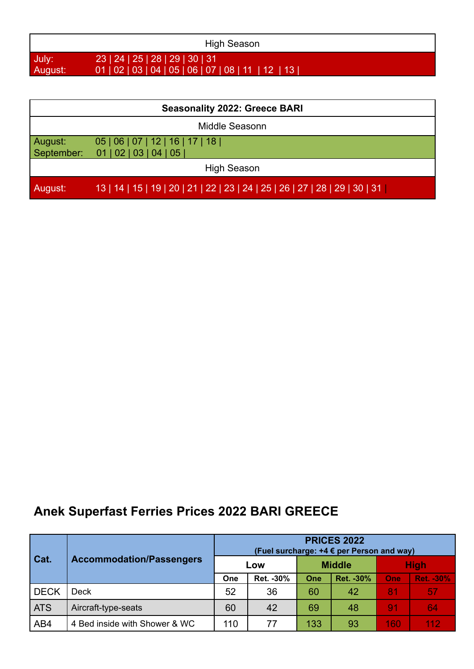| High Season |                                                      |  |  |  |
|-------------|------------------------------------------------------|--|--|--|
| July:       | 23   24   25   28   29   30   31                     |  |  |  |
| August:     | 01   02   03   04   05   06   07   08   11   12   13 |  |  |  |

| <b>Seasonality 2022: Greece BARI</b> |                                                                               |  |  |  |
|--------------------------------------|-------------------------------------------------------------------------------|--|--|--|
| Middle Seasonn                       |                                                                               |  |  |  |
| August:                              | 05   06   07   12   16   17   18  <br>September: 01   02   03   04   05       |  |  |  |
| High Season                          |                                                                               |  |  |  |
| August:                              | 13   14   15   19   20   21   22   23   24   25   26   27   28   29   30   31 |  |  |  |

# **Anek Superfast Ferries Prices 2022 BARI GREECE**

| Cat.        | <b>Accommodation/Passengers</b> | <b>PRICES 2022</b><br>(Fuel surcharge: +4 € per Person and way) |            |               |            |                |                  |  |
|-------------|---------------------------------|-----------------------------------------------------------------|------------|---------------|------------|----------------|------------------|--|
|             |                                 | Low                                                             |            | <b>Middle</b> |            | <b>High</b>    |                  |  |
|             |                                 | One                                                             | Ret. - 30% | One           | Ret. - 30% | One            | <b>Ret. -30%</b> |  |
| <b>DECK</b> | <b>Deck</b>                     | 52                                                              | 36         | 60            | 42         | 81             | 57               |  |
| ATS         | Aircraft-type-seats             | 60                                                              | 42         | 69            | 48         | 9 <sub>1</sub> | 64               |  |
| AB4         | 4 Bed inside with Shower & WC   | 110                                                             | 77         | 133           | 93         | 160            | 112              |  |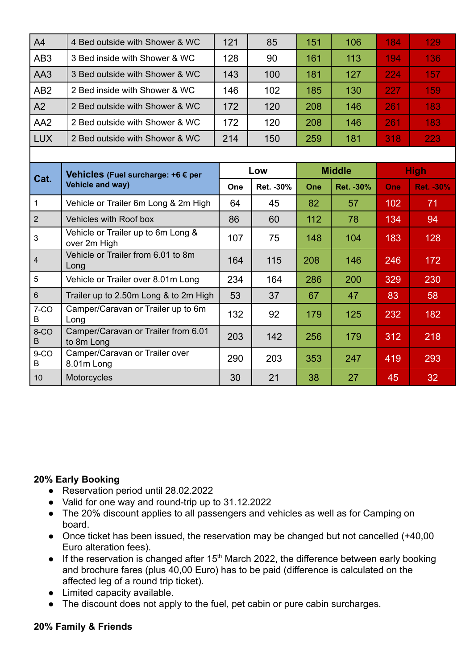| A <sub>4</sub>  | 4 Bed outside with Shower & WC                                | 121 | 85         | 151           | 106        | 184         | 129              |
|-----------------|---------------------------------------------------------------|-----|------------|---------------|------------|-------------|------------------|
| AB <sub>3</sub> | 3 Bed inside with Shower & WC                                 | 128 | 90         | 161           | 113        | 194         | 136              |
| AA3             | 3 Bed outside with Shower & WC                                | 143 | 100        | 181           | 127        | 224         | 157              |
| AB <sub>2</sub> | 2 Bed inside with Shower & WC                                 | 146 | 102        | 185           | 130        | 227         | 159              |
| A2              | 2 Bed outside with Shower & WC                                | 172 | 120        | 208           | 146        | 261         | 183              |
| AA <sub>2</sub> | 2 Bed outside with Shower & WC                                | 172 | 120        | 208           | 146        | 261         | 183              |
| <b>LUX</b>      | 2 Bed outside with Shower & WC                                | 214 | 150        | 259           | 181        | 318         | 223              |
|                 |                                                               |     |            |               |            |             |                  |
| Cat.            | Vehicles (Fuel surcharge: +6 € per<br><b>Vehicle and way)</b> | Low |            | <b>Middle</b> |            | <b>High</b> |                  |
|                 |                                                               | One | Ret. - 30% | One           | Ret. - 30% | One         | <b>Ret. -30%</b> |
| $\mathbf{1}$    | Vehicle or Trailer 6m Long & 2m High                          | 64  | 45         | 82            | 57         | 102         | 71               |
| $\overline{2}$  | Vehicles with Roof box                                        | 86  | 60         | 112           | 78         | 134         | 94               |
| 3               | Vehicle or Trailer up to 6m Long &<br>over 2m High            | 107 | 75         | 148           | 104        | 183         | 128              |
| $\overline{4}$  | Vehicle or Trailer from 6.01 to 8m<br>Long                    | 164 | 115        | 208           | 146        | 246         | 172              |
| 5               | Vehicle or Trailer over 8.01m Long                            | 234 | 164        | 286           | 200        | 329         | 230              |
| $6\phantom{a}$  | Trailer up to 2.50m Long & to 2m High                         | 53  | 37         | 67            | 47         | 83          | 58               |
| $7-CO$<br>B     | Camper/Caravan or Trailer up to 6m<br>Long                    | 132 | 92         | 179           | 125        | 232         | 182              |
| 8-CO<br>B       | Camper/Caravan or Trailer from 6.01<br>to 8m Long             | 203 | 142        | 256           | 179        | 312         | 218              |
| $9-CO$<br>B     | Camper/Caravan or Trailer over<br>8.01m Long                  | 290 | 203        | 353           | 247        | 419         | 293              |
| 10              | Motorcycles                                                   | 30  | 21         | 38            | 27         | 45          | 32               |

### **20% Early Booking**

- Reservation period until 28.02.2022
- Valid for one way and round-trip up to 31.12.2022
- The 20% discount applies to all passengers and vehicles as well as for Camping on board.
- Once ticket has been issued, the reservation may be changed but not cancelled (+40,00) Euro alteration fees).
- $\bullet$  If the reservation is changed after 15<sup>th</sup> March 2022, the difference between early booking and brochure fares (plus 40,00 Euro) has to be paid (difference is calculated on the affected leg of a round trip ticket).
- Limited capacity available.
- The discount does not apply to the fuel, pet cabin or pure cabin surcharges.

### **20% Family & Friends**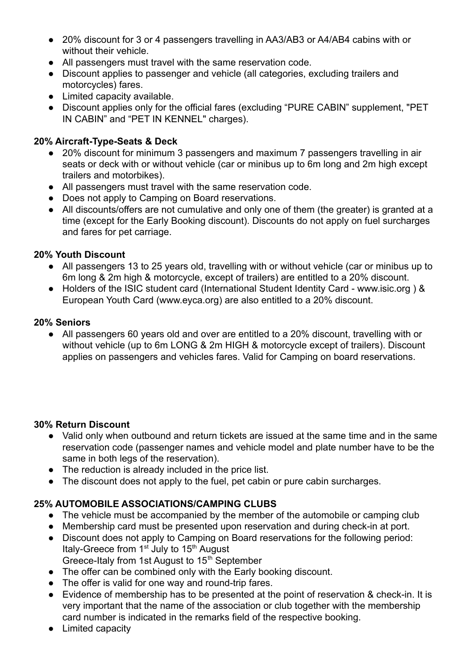- 20% discount for 3 or 4 passengers travelling in AA3/AB3 or A4/AB4 cabins with or without their vehicle.
- All passengers must travel with the same reservation code.
- Discount applies to passenger and vehicle (all categories, excluding trailers and motorcycles) fares.
- Limited capacity available.
- Discount applies only for the official fares (excluding "PURE CABIN" supplement, "PET IN CABIN" and "PET IN KENNEL" charges).

### **20% Aircraft-Type-Seats & Deck**

- 20% discount for minimum 3 passengers and maximum 7 passengers travelling in air seats or deck with or without vehicle (car or minibus up to 6m long and 2m high except trailers and motorbikes).
- All passengers must travel with the same reservation code.
- Does not apply to Camping on Board reservations.
- All discounts/offers are not cumulative and only one of them (the greater) is granted at a time (except for the Early Booking discount). Discounts do not apply on fuel surcharges and fares for pet carriage.

### **20% Youth Discount**

- All passengers 13 to 25 years old, travelling with or without vehicle (car or minibus up to 6m long & 2m high & motorcycle, except of trailers) are entitled to a 20% discount.
- Holders of the ISIC student card (International Student Identity Card www.isic.org ) & European Youth Card (www.eyca.org) are also entitled to a 20% discount.

### **20% Seniors**

● All passengers 60 years old and over are entitled to a 20% discount, travelling with or without vehicle (up to 6m LONG & 2m HIGH & motorcycle except of trailers). Discount applies on passengers and vehicles fares. Valid for Camping on board reservations.

### **30% Return Discount**

- Valid only when outbound and return tickets are issued at the same time and in the same reservation code (passenger names and vehicle model and plate number have to be the same in both legs of the reservation).
- The reduction is already included in the price list.
- The discount does not apply to the fuel, pet cabin or pure cabin surcharges.

### **25% AUTOMOBILE ASSOCIATIONS/CAMPING CLUBS**

- The vehicle must be accompanied by the member of the automobile or camping club
- Membership card must be presented upon reservation and during check-in at port.
- Discount does not apply to Camping on Board reservations for the following period: Italy-Greece from  $1<sup>st</sup>$  July to  $15<sup>th</sup>$  August Greece-Italy from 1st August to 15<sup>th</sup> September
- The offer can be combined only with the Early booking discount.
- The offer is valid for one way and round-trip fares.
- Evidence of membership has to be presented at the point of reservation & check-in. It is very important that the name of the association or club together with the membership card number is indicated in the remarks field of the respective booking.
- Limited capacity